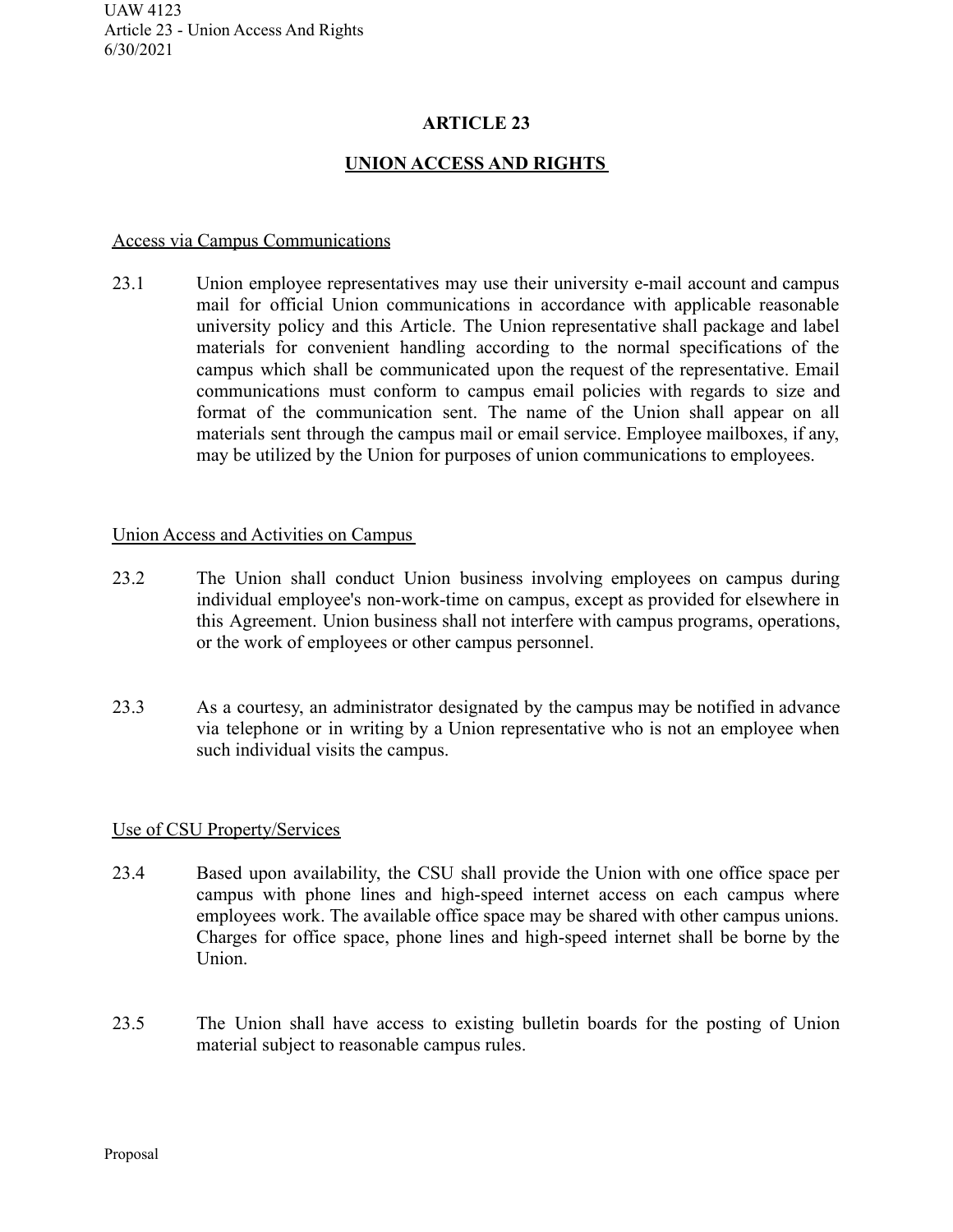# **ARTICLE 23**

# **UNION ACCESS AND RIGHTS**

#### Access via Campus Communications

23.1 Union employee representatives may use their university e-mail account and campus mail for official Union communications in accordance with applicable reasonable university policy and this Article. The Union representative shall package and label materials for convenient handling according to the normal specifications of the campus which shall be communicated upon the request of the representative. Email communications must conform to campus email policies with regards to size and format of the communication sent. The name of the Union shall appear on all materials sent through the campus mail or email service. Employee mailboxes, if any, may be utilized by the Union for purposes of union communications to employees.

### Union Access and Activities on Campus

- 23.2 The Union shall conduct Union business involving employees on campus during individual employee's non-work-time on campus, except as provided for elsewhere in this Agreement. Union business shall not interfere with campus programs, operations, or the work of employees or other campus personnel.
- 23.3 As a courtesy, an administrator designated by the campus may be notified in advance via telephone or in writing by a Union representative who is not an employee when such individual visits the campus.

### Use of CSU Property/Services

- 23.4 Based upon availability, the CSU shall provide the Union with one office space per campus with phone lines and high-speed internet access on each campus where employees work. The available office space may be shared with other campus unions. Charges for office space, phone lines and high-speed internet shall be borne by the Union.
- 23.5 The Union shall have access to existing bulletin boards for the posting of Union material subject to reasonable campus rules.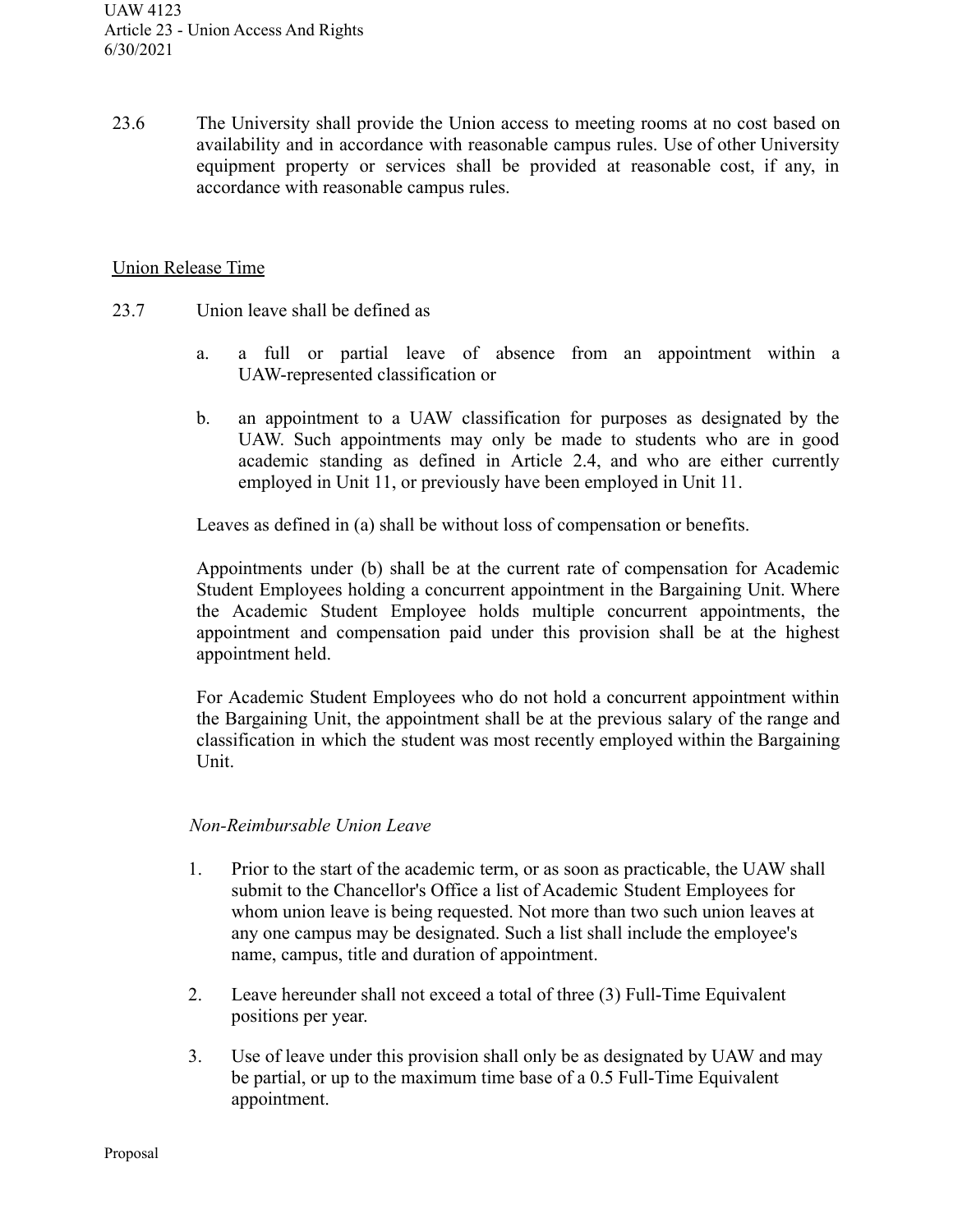23.6 The University shall provide the Union access to meeting rooms at no cost based on availability and in accordance with reasonable campus rules. Use of other University equipment property or services shall be provided at reasonable cost, if any, in accordance with reasonable campus rules.

#### Union Release Time

- 23.7 Union leave shall be defined as
	- a. a full or partial leave of absence from an appointment within a UAW-represented classification or
	- b. an appointment to a UAW classification for purposes as designated by the UAW. Such appointments may only be made to students who are in good academic standing as defined in Article 2.4, and who are either currently employed in Unit 11, or previously have been employed in Unit 11.

Leaves as defined in (a) shall be without loss of compensation or benefits.

Appointments under (b) shall be at the current rate of compensation for Academic Student Employees holding a concurrent appointment in the Bargaining Unit. Where the Academic Student Employee holds multiple concurrent appointments, the appointment and compensation paid under this provision shall be at the highest appointment held.

For Academic Student Employees who do not hold a concurrent appointment within the Bargaining Unit, the appointment shall be at the previous salary of the range and classification in which the student was most recently employed within the Bargaining Unit.

### *Non-Reimbursable Union Leave*

- 1. Prior to the start of the academic term, or as soon as practicable, the UAW shall submit to the Chancellor's Office a list of Academic Student Employees for whom union leave is being requested. Not more than two such union leaves at any one campus may be designated. Such a list shall include the employee's name, campus, title and duration of appointment.
- 2. Leave hereunder shall not exceed a total of three (3) Full-Time Equivalent positions per year.
- 3. Use of leave under this provision shall only be as designated by UAW and may be partial, or up to the maximum time base of a 0.5 Full-Time Equivalent appointment.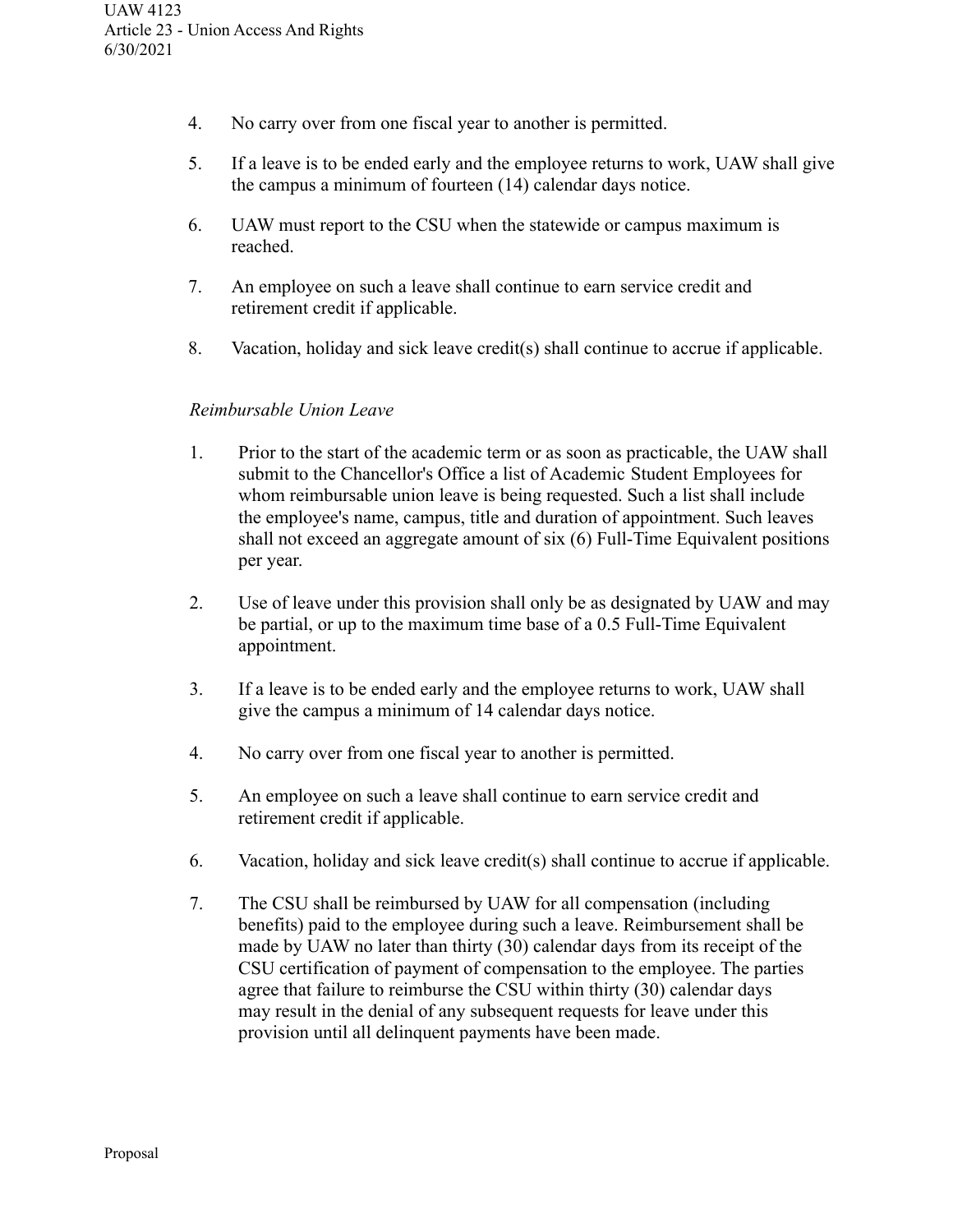- 4. No carry over from one fiscal year to another is permitted.
- 5. If a leave is to be ended early and the employee returns to work, UAW shall give the campus a minimum of fourteen (14) calendar days notice.
- 6. UAW must report to the CSU when the statewide or campus maximum is reached.
- 7. An employee on such a leave shall continue to earn service credit and retirement credit if applicable.
- 8. Vacation, holiday and sick leave credit(s) shall continue to accrue if applicable.

### *Reimbursable Union Leave*

- 1. Prior to the start of the academic term or as soon as practicable, the UAW shall submit to the Chancellor's Office a list of Academic Student Employees for whom reimbursable union leave is being requested. Such a list shall include the employee's name, campus, title and duration of appointment. Such leaves shall not exceed an aggregate amount of six (6) Full-Time Equivalent positions per year.
- 2. Use of leave under this provision shall only be as designated by UAW and may be partial, or up to the maximum time base of a 0.5 Full-Time Equivalent appointment.
- 3. If a leave is to be ended early and the employee returns to work, UAW shall give the campus a minimum of 14 calendar days notice.
- 4. No carry over from one fiscal year to another is permitted.
- 5. An employee on such a leave shall continue to earn service credit and retirement credit if applicable.
- 6. Vacation, holiday and sick leave credit(s) shall continue to accrue if applicable.
- 7. The CSU shall be reimbursed by UAW for all compensation (including benefits) paid to the employee during such a leave. Reimbursement shall be made by UAW no later than thirty (30) calendar days from its receipt of the CSU certification of payment of compensation to the employee. The parties agree that failure to reimburse the CSU within thirty (30) calendar days may result in the denial of any subsequent requests for leave under this provision until all delinquent payments have been made.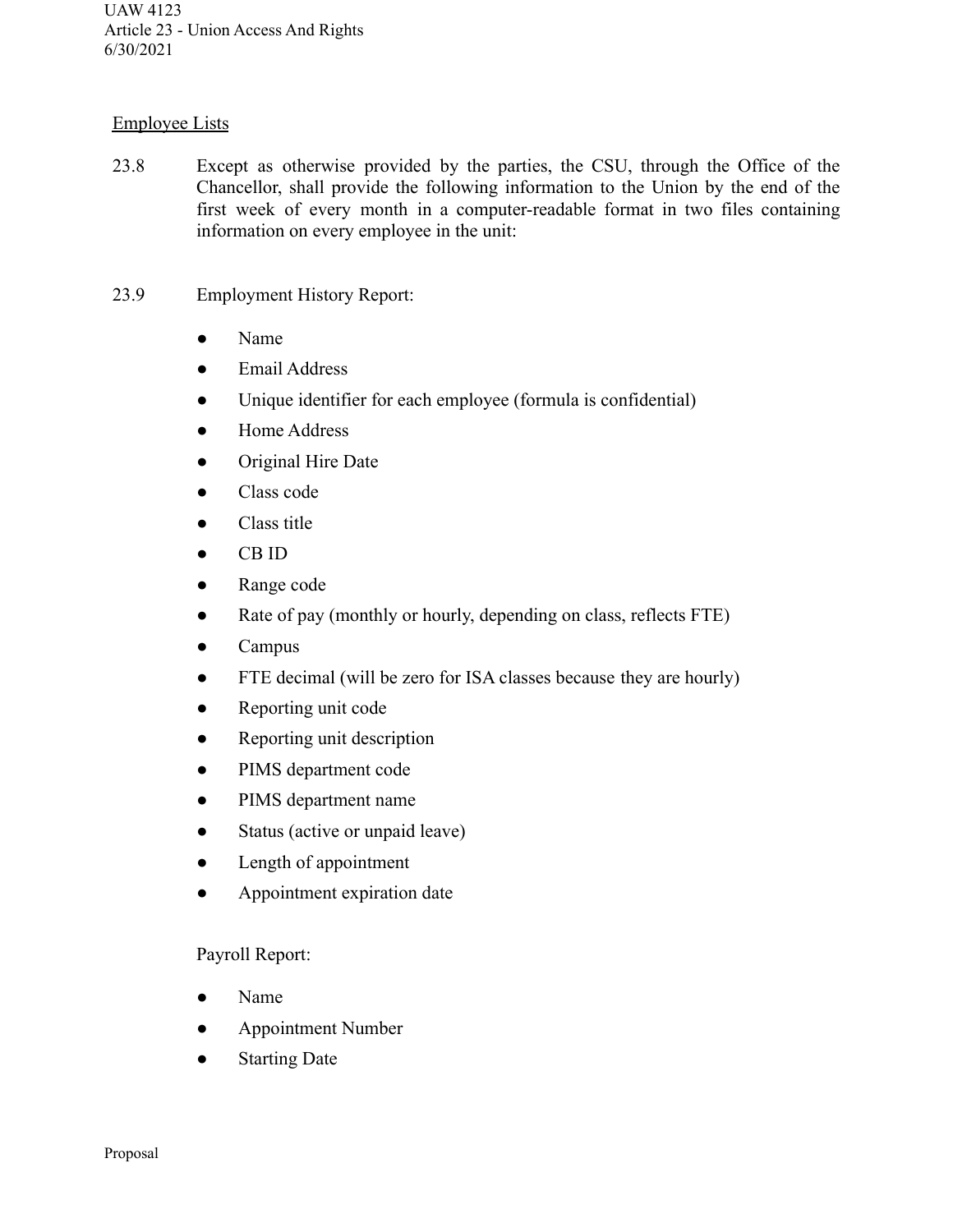## Employee Lists

- 23.8 Except as otherwise provided by the parties, the CSU, through the Office of the Chancellor, shall provide the following information to the Union by the end of the first week of every month in a computer-readable format in two files containing information on every employee in the unit:
- 23.9 Employment History Report:
	- Name
	- Email Address
	- Unique identifier for each employee (formula is confidential)
	- Home Address
	- Original Hire Date
	- Class code
	- Class title
	- CB ID
	- Range code
	- Rate of pay (monthly or hourly, depending on class, reflects FTE)
	- Campus
	- FTE decimal (will be zero for ISA classes because they are hourly)
	- Reporting unit code
	- Reporting unit description
	- PIMS department code
	- PIMS department name
	- Status (active or unpaid leave)
	- Length of appointment
	- Appointment expiration date

### Payroll Report:

- Name
- Appointment Number
- Starting Date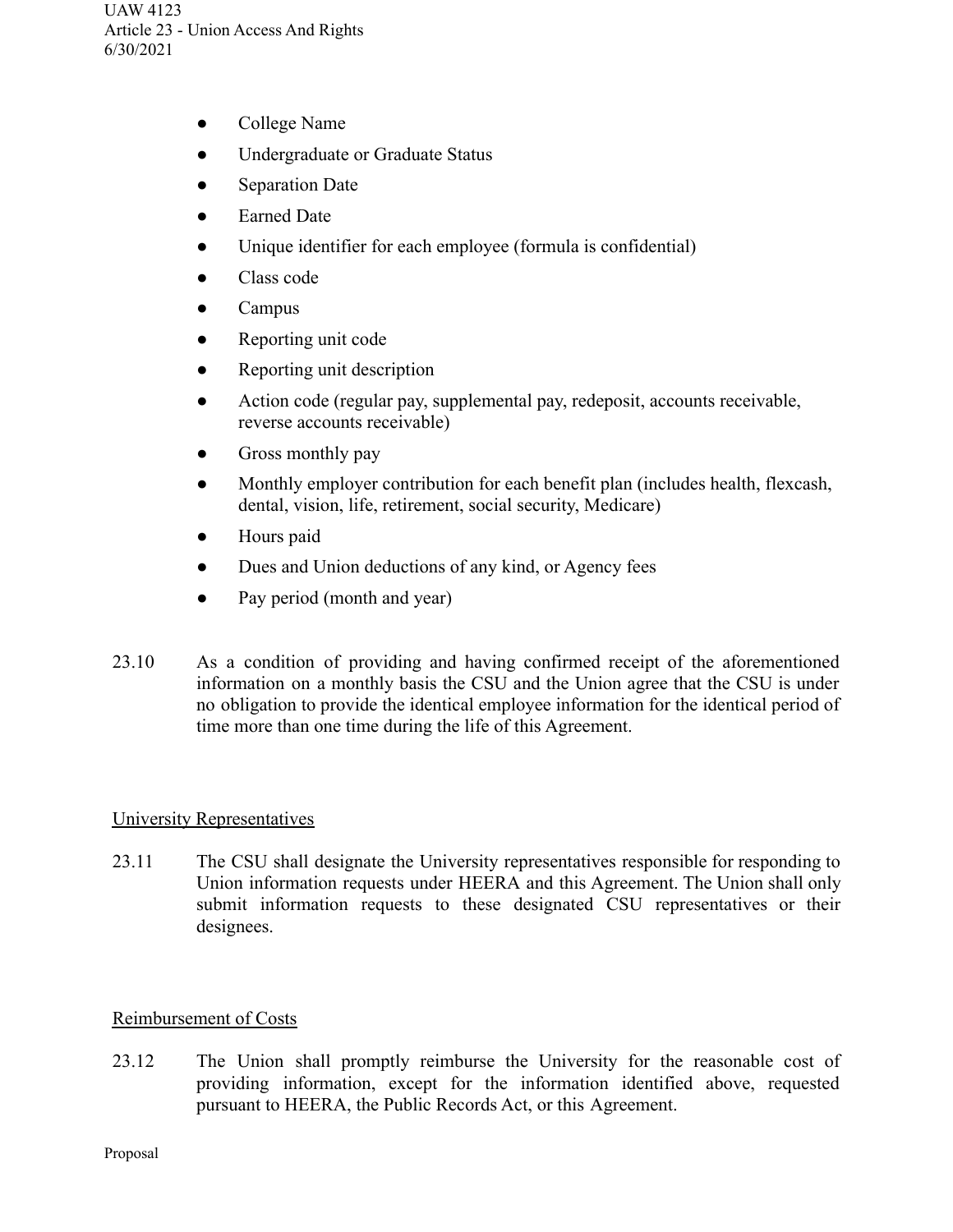- College Name
- Undergraduate or Graduate Status
- **Separation Date**
- Earned Date
- Unique identifier for each employee (formula is confidential)
- Class code
- Campus
- Reporting unit code
- Reporting unit description
- Action code (regular pay, supplemental pay, redeposit, accounts receivable, reverse accounts receivable)
- Gross monthly pay
- Monthly employer contribution for each benefit plan (includes health, flexcash, dental, vision, life, retirement, social security, Medicare)
- Hours paid
- Dues and Union deductions of any kind, or Agency fees
- Pay period (month and year)
- 23.10 As a condition of providing and having confirmed receipt of the aforementioned information on a monthly basis the CSU and the Union agree that the CSU is under no obligation to provide the identical employee information for the identical period of time more than one time during the life of this Agreement.

### University Representatives

23.11 The CSU shall designate the University representatives responsible for responding to Union information requests under HEERA and this Agreement. The Union shall only submit information requests to these designated CSU representatives or their designees.

### Reimbursement of Costs

23.12 The Union shall promptly reimburse the University for the reasonable cost of providing information, except for the information identified above, requested pursuant to HEERA, the Public Records Act, or this Agreement.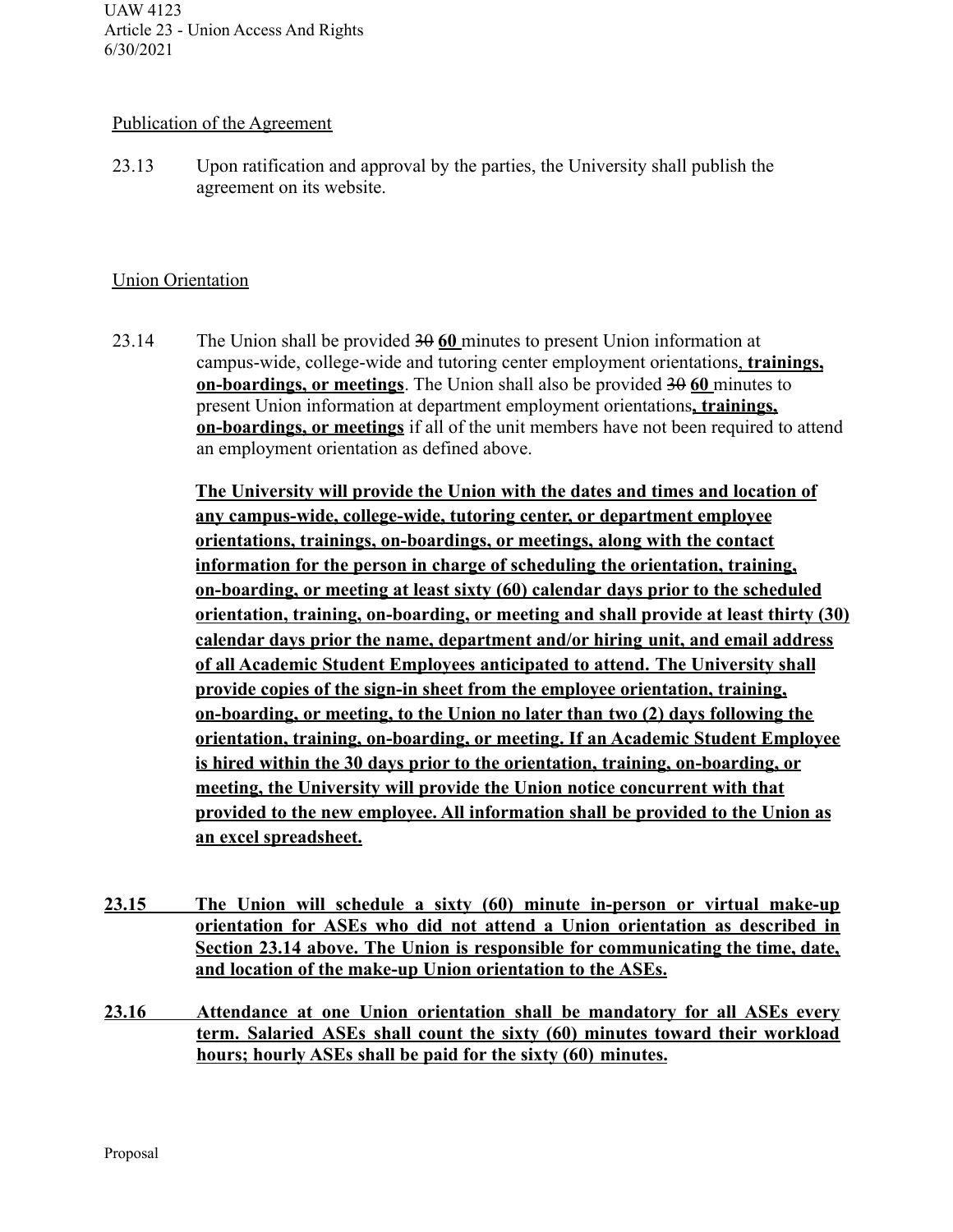### Publication of the Agreement

23.13 Upon ratification and approval by the parties, the University shall publish the agreement on its website.

## Union Orientation

23.14 The Union shall be provided 30 **60** minutes to present Union information at campus-wide, college-wide and tutoring center employment orientations, **trainings, on-boardings, or meetings**. The Union shall also be provided 30 60 minutes to present Union information at department employment orientations**, trainings, on-boardings, or meetings** if all of the unit members have not been required to attend an employment orientation as defined above.

> **The University will provide the Union with the dates and times and location of any campus-wide, college-wide, tutoring center, or department employee orientations, trainings, on-boardings, or meetings, along with the contact information for the person in charge of scheduling the orientation, training, on-boarding, or meeting at least sixty (60) calendar days prior to the scheduled orientation, training, on-boarding, or meeting and shall provide at least thirty (30) calendar days prior the name, department and/or hiring unit, and email address of all Academic Student Employees anticipated to attend. The University shall provide copies of the sign-in sheet from the employee orientation, training, on-boarding, or meeting, to the Union no later than two (2) days following the orientation, training, on-boarding, or meeting. If an Academic Student Employee is hired within the 30 days prior to the orientation, training, on-boarding, or meeting, the University will provide the Union notice concurrent with that provided to the new employee. All information shall be provided to the Union as an excel spreadsheet.**

- **23.15 The Union will schedule a sixty (60) minute in-person or virtual make-up orientation for ASEs who did not attend a Union orientation as described in Section 23.14 above. The Union is responsible for communicating the time, date, and location of the make-up Union orientation to the ASEs.**
- **23.16 Attendance at one Union orientation shall be mandatory for all ASEs every term. Salaried ASEs shall count the sixty (60) minutes toward their workload hours; hourly ASEs shall be paid for the sixty (60) minutes.**